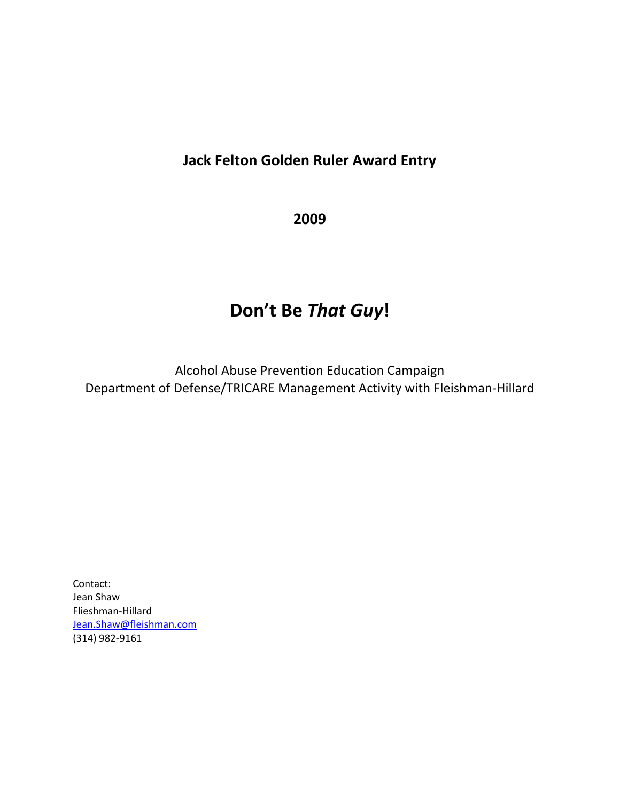# **Jack Felton Golden Ruler Award Entry**

**2009**

# **Don't Be** *That Guy***!**

Alcohol Abuse Prevention Education Campaign Department of Defense/TRICARE Management Activity with Fleishman‐Hillard

Contact: Jean Shaw Flieshman‐Hillard Jean.Shaw@fleishman.com (314) 982‐9161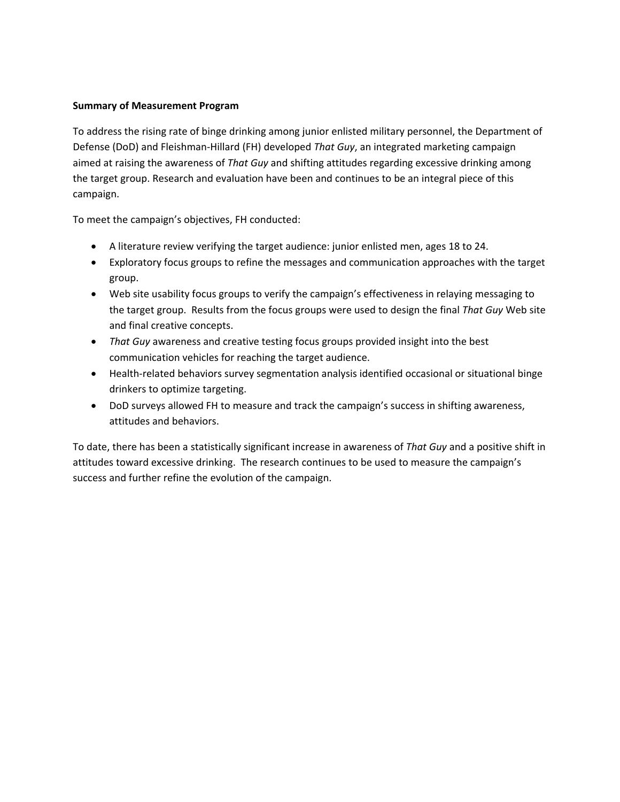### **Summary of Measurement Program**

To address the rising rate of binge drinking among junior enlisted military personnel, the Department of Defense (DoD) and Fleishman‐Hillard (FH) developed *That Guy*, an integrated marketing campaign aimed at raising the awareness of *That Guy* and shifting attitudes regarding excessive drinking among the target group. Research and evaluation have been and continues to be an integral piece of this campaign.

To meet the campaign's objectives, FH conducted:

- A literature review verifying the target audience: junior enlisted men, ages 18 to 24.
- Exploratory focus groups to refine the messages and communication approaches with the target group.
- Web site usability focus groups to verify the campaign's effectiveness in relaying messaging to the target group. Results from the focus groups were used to design the final *That Guy* Web site and final creative concepts.
- *That Guy* awareness and creative testing focus groups provided insight into the best communication vehicles for reaching the target audience.
- Health-related behaviors survey segmentation analysis identified occasional or situational binge drinkers to optimize targeting.
- DoD surveys allowed FH to measure and track the campaign's success in shifting awareness, attitudes and behaviors.

To date, there has been a statistically significant increase in awareness of *That Guy* and a positive shift in attitudes toward excessive drinking. The research continues to be used to measure the campaign's success and further refine the evolution of the campaign.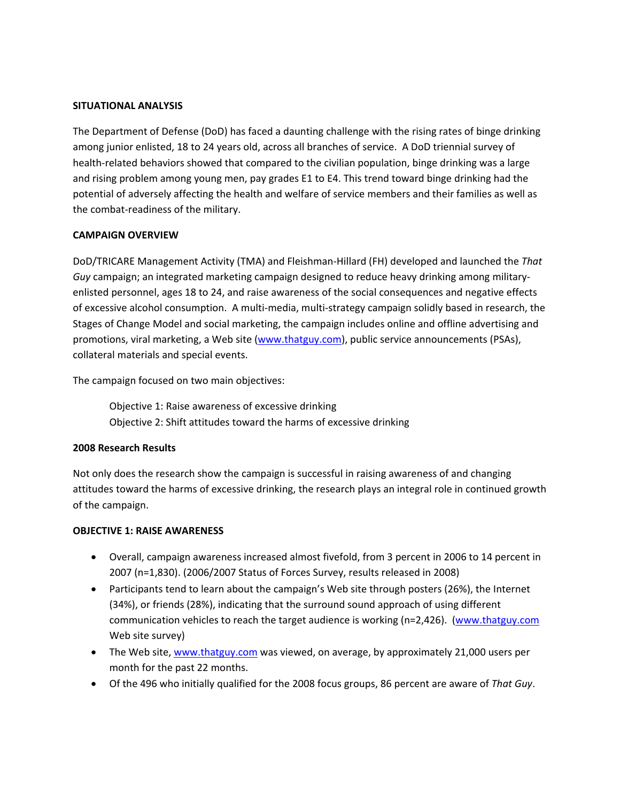#### **SITUATIONAL ANALYSIS**

The Department of Defense (DoD) has faced a daunting challenge with the rising rates of binge drinking among junior enlisted, 18 to 24 years old, across all branches of service. A DoD triennial survey of health-related behaviors showed that compared to the civilian population, binge drinking was a large and rising problem among young men, pay grades E1 to E4. This trend toward binge drinking had the potential of adversely affecting the health and welfare of service members and their families as well as the combat‐readiness of the military.

## **CAMPAIGN OVERVIEW**

DoD/TRICARE Management Activity (TMA) and Fleishman‐Hillard (FH) developed and launched the *That Guy* campaign; an integrated marketing campaign designed to reduce heavy drinking among military‐ enlisted personnel, ages 18 to 24, and raise awareness of the social consequences and negative effects of excessive alcohol consumption. A multi‐media, multi‐strategy campaign solidly based in research, the Stages of Change Model and social marketing, the campaign includes online and offline advertising and promotions, viral marketing, a Web site (www.thatguy.com), public service announcements (PSAs), collateral materials and special events.

The campaign focused on two main objectives:

Objective 1: Raise awareness of excessive drinking Objective 2: Shift attitudes toward the harms of excessive drinking

## **2008 Research Results**

Not only does the research show the campaign is successful in raising awareness of and changing attitudes toward the harms of excessive drinking, the research plays an integral role in continued growth of the campaign.

## **OBJECTIVE 1: RAISE AWARENESS**

- Overall, campaign awareness increased almost fivefold, from 3 percent in 2006 to 14 percent in 2007 (n=1,830). (2006/2007 Status of Forces Survey, results released in 2008)
- Participants tend to learn about the campaign's Web site through posters (26%), the Internet (34%), or friends (28%), indicating that the surround sound approach of using different communication vehicles to reach the target audience is working (n=2,426). (www.thatguy.com Web site survey)
- The Web site, www.thatguy.com was viewed, on average, by approximately 21,000 users per month for the past 22 months.
- Of the 496 who initially qualified for the 2008 focus groups, 86 percent are aware of *That Guy*.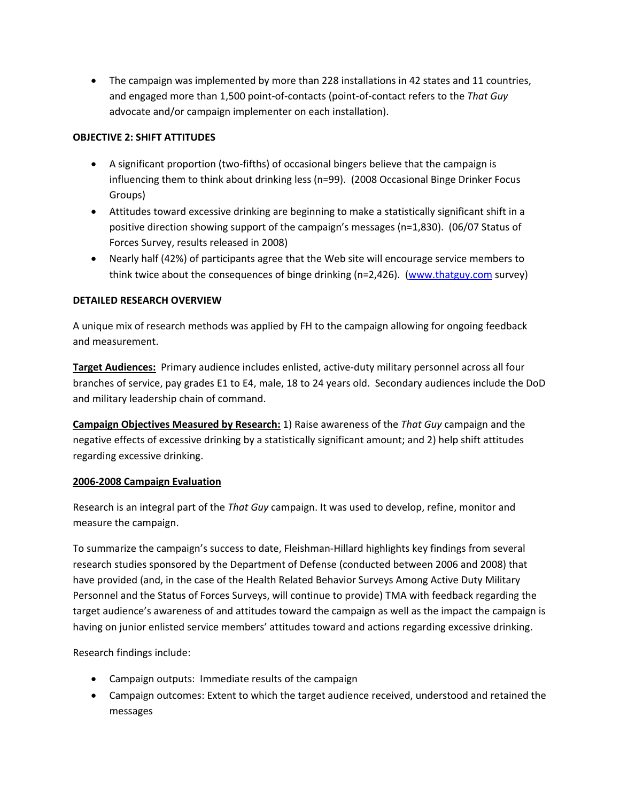• The campaign was implemented by more than 228 installations in 42 states and 11 countries, and engaged more than 1,500 point‐of‐contacts (point‐of‐contact refers to the *That Guy* advocate and/or campaign implementer on each installation).

# **OBJECTIVE 2: SHIFT ATTITUDES**

- A significant proportion (two‐fifths) of occasional bingers believe that the campaign is influencing them to think about drinking less (n=99). (2008 Occasional Binge Drinker Focus Groups)
- Attitudes toward excessive drinking are beginning to make a statistically significant shift in a positive direction showing support of the campaign's messages (n=1,830). (06/07 Status of Forces Survey, results released in 2008)
- Nearly half (42%) of participants agree that the Web site will encourage service members to think twice about the consequences of binge drinking (n=2,426). (www.thatguy.com survey)

# **DETAILED RESEARCH OVERVIEW**

A unique mix of research methods was applied by FH to the campaign allowing for ongoing feedback and measurement.

**Target Audiences:** Primary audience includes enlisted, active‐duty military personnel across all four branches of service, pay grades E1 to E4, male, 18 to 24 years old. Secondary audiences include the DoD and military leadership chain of command.

**Campaign Objectives Measured by Research:** 1) Raise awareness of the *That Guy* campaign and the negative effects of excessive drinking by a statistically significant amount; and 2) help shift attitudes regarding excessive drinking.

## **2006‐2008 Campaign Evaluation**

Research is an integral part of the *That Guy* campaign. It was used to develop, refine, monitor and measure the campaign.

To summarize the campaign's success to date, Fleishman‐Hillard highlights key findings from several research studies sponsored by the Department of Defense (conducted between 2006 and 2008) that have provided (and, in the case of the Health Related Behavior Surveys Among Active Duty Military Personnel and the Status of Forces Surveys, will continue to provide) TMA with feedback regarding the target audience's awareness of and attitudes toward the campaign as well as the impact the campaign is having on junior enlisted service members' attitudes toward and actions regarding excessive drinking.

Research findings include:

- Campaign outputs: Immediate results of the campaign
- Campaign outcomes: Extent to which the target audience received, understood and retained the messages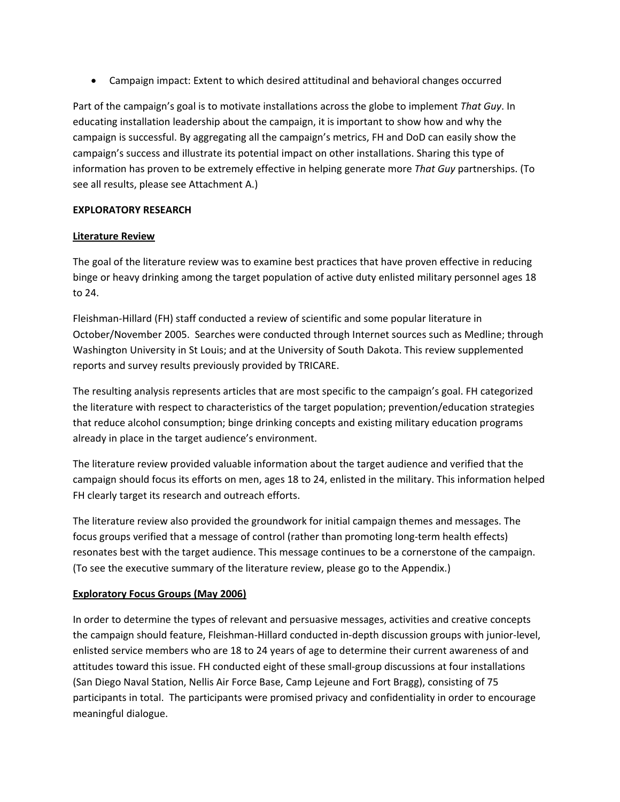• Campaign impact: Extent to which desired attitudinal and behavioral changes occurred

Part of the campaign's goal is to motivate installations across the globe to implement *That Guy*. In educating installation leadership about the campaign, it is important to show how and why the campaign is successful. By aggregating all the campaign's metrics, FH and DoD can easily show the campaign's success and illustrate its potential impact on other installations. Sharing this type of information has proven to be extremely effective in helping generate more *That Guy* partnerships. (To see all results, please see Attachment A.)

# **EXPLORATORY RESEARCH**

# **Literature Review**

The goal of the literature review was to examine best practices that have proven effective in reducing binge or heavy drinking among the target population of active duty enlisted military personnel ages 18 to 24.

Fleishman‐Hillard (FH) staff conducted a review of scientific and some popular literature in October/November 2005. Searches were conducted through Internet sources such as Medline; through Washington University in St Louis; and at the University of South Dakota. This review supplemented reports and survey results previously provided by TRICARE.

The resulting analysis represents articles that are most specific to the campaign's goal. FH categorized the literature with respect to characteristics of the target population; prevention/education strategies that reduce alcohol consumption; binge drinking concepts and existing military education programs already in place in the target audience's environment.

The literature review provided valuable information about the target audience and verified that the campaign should focus its efforts on men, ages 18 to 24, enlisted in the military. This information helped FH clearly target its research and outreach efforts.

The literature review also provided the groundwork for initial campaign themes and messages. The focus groups verified that a message of control (rather than promoting long‐term health effects) resonates best with the target audience. This message continues to be a cornerstone of the campaign. (To see the executive summary of the literature review, please go to the Appendix.)

# **Exploratory Focus Groups (May 2006)**

In order to determine the types of relevant and persuasive messages, activities and creative concepts the campaign should feature, Fleishman‐Hillard conducted in‐depth discussion groups with junior‐level, enlisted service members who are 18 to 24 years of age to determine their current awareness of and attitudes toward this issue. FH conducted eight of these small‐group discussions at four installations (San Diego Naval Station, Nellis Air Force Base, Camp Lejeune and Fort Bragg), consisting of 75 participants in total. The participants were promised privacy and confidentiality in order to encourage meaningful dialogue.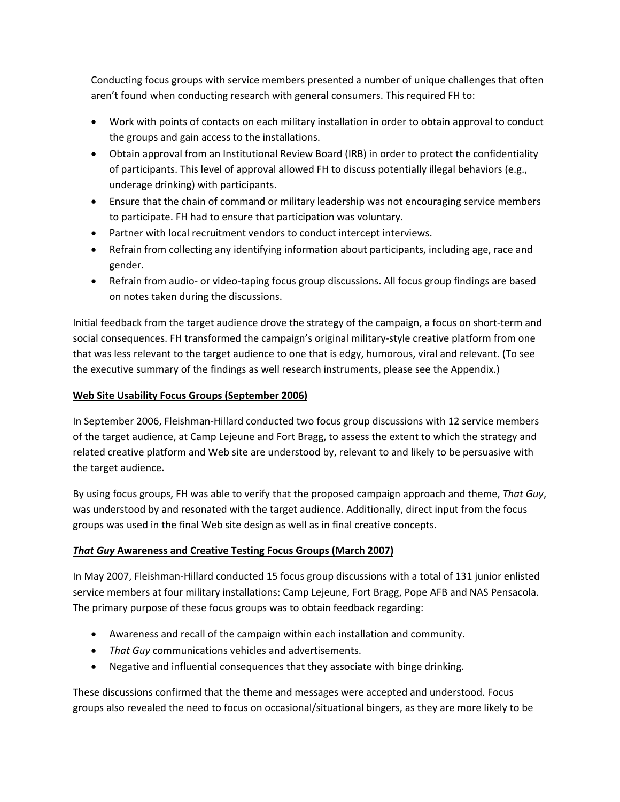Conducting focus groups with service members presented a number of unique challenges that often aren't found when conducting research with general consumers. This required FH to:

- Work with points of contacts on each military installation in order to obtain approval to conduct the groups and gain access to the installations.
- Obtain approval from an Institutional Review Board (IRB) in order to protect the confidentiality of participants. This level of approval allowed FH to discuss potentially illegal behaviors (e.g., underage drinking) with participants.
- Ensure that the chain of command or military leadership was not encouraging service members to participate. FH had to ensure that participation was voluntary.
- Partner with local recruitment vendors to conduct intercept interviews.
- Refrain from collecting any identifying information about participants, including age, race and gender.
- Refrain from audio- or video-taping focus group discussions. All focus group findings are based on notes taken during the discussions.

Initial feedback from the target audience drove the strategy of the campaign, a focus on short‐term and social consequences. FH transformed the campaign's original military‐style creative platform from one that was less relevant to the target audience to one that is edgy, humorous, viral and relevant. (To see the executive summary of the findings as well research instruments, please see the Appendix.)

# **Web Site Usability Focus Groups (September 2006)**

In September 2006, Fleishman‐Hillard conducted two focus group discussions with 12 service members of the target audience, at Camp Lejeune and Fort Bragg, to assess the extent to which the strategy and related creative platform and Web site are understood by, relevant to and likely to be persuasive with the target audience.

By using focus groups, FH was able to verify that the proposed campaign approach and theme, *That Guy*, was understood by and resonated with the target audience. Additionally, direct input from the focus groups was used in the final Web site design as well as in final creative concepts.

# *That Guy* **Awareness and Creative Testing Focus Groups (March 2007)**

In May 2007, Fleishman‐Hillard conducted 15 focus group discussions with a total of 131 junior enlisted service members at four military installations: Camp Lejeune, Fort Bragg, Pope AFB and NAS Pensacola. The primary purpose of these focus groups was to obtain feedback regarding:

- Awareness and recall of the campaign within each installation and community.
- *That Guy* communications vehicles and advertisements.
- Negative and influential consequences that they associate with binge drinking.

These discussions confirmed that the theme and messages were accepted and understood. Focus groups also revealed the need to focus on occasional/situational bingers, as they are more likely to be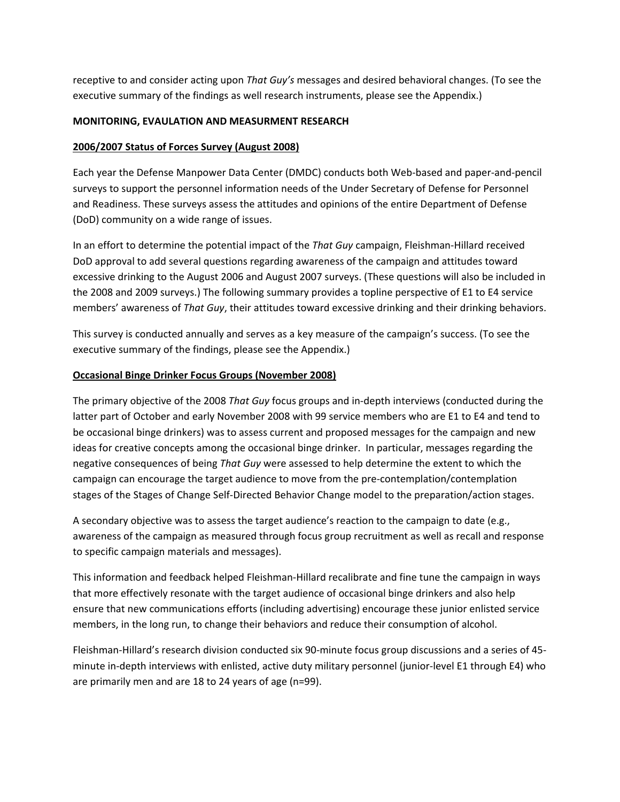receptive to and consider acting upon *That Guy's* messages and desired behavioral changes. (To see the executive summary of the findings as well research instruments, please see the Appendix.)

## **MONITORING, EVAULATION AND MEASURMENT RESEARCH**

# **2006/2007 Status of Forces Survey (August 2008)**

Each year the Defense Manpower Data Center (DMDC) conducts both Web‐based and paper‐and‐pencil surveys to support the personnel information needs of the Under Secretary of Defense for Personnel and Readiness. These surveys assess the attitudes and opinions of the entire Department of Defense (DoD) community on a wide range of issues.

In an effort to determine the potential impact of the *That Guy* campaign, Fleishman‐Hillard received DoD approval to add several questions regarding awareness of the campaign and attitudes toward excessive drinking to the August 2006 and August 2007 surveys. (These questions will also be included in the 2008 and 2009 surveys.) The following summary provides a topline perspective of E1 to E4 service members' awareness of *That Guy*, their attitudes toward excessive drinking and their drinking behaviors.

This survey is conducted annually and serves as a key measure of the campaign's success. (To see the executive summary of the findings, please see the Appendix.)

# **Occasional Binge Drinker Focus Groups (November 2008)**

The primary objective of the 2008 *That Guy* focus groups and in‐depth interviews (conducted during the latter part of October and early November 2008 with 99 service members who are E1 to E4 and tend to be occasional binge drinkers) was to assess current and proposed messages for the campaign and new ideas for creative concepts among the occasional binge drinker. In particular, messages regarding the negative consequences of being *That Guy* were assessed to help determine the extent to which the campaign can encourage the target audience to move from the pre‐contemplation/contemplation stages of the Stages of Change Self‐Directed Behavior Change model to the preparation/action stages.

A secondary objective was to assess the target audience's reaction to the campaign to date (e.g., awareness of the campaign as measured through focus group recruitment as well as recall and response to specific campaign materials and messages).

This information and feedback helped Fleishman‐Hillard recalibrate and fine tune the campaign in ways that more effectively resonate with the target audience of occasional binge drinkers and also help ensure that new communications efforts (including advertising) encourage these junior enlisted service members, in the long run, to change their behaviors and reduce their consumption of alcohol.

Fleishman‐Hillard's research division conducted six 90‐minute focus group discussions and a series of 45‐ minute in-depth interviews with enlisted, active duty military personnel (junior-level E1 through E4) who are primarily men and are 18 to 24 years of age (n=99).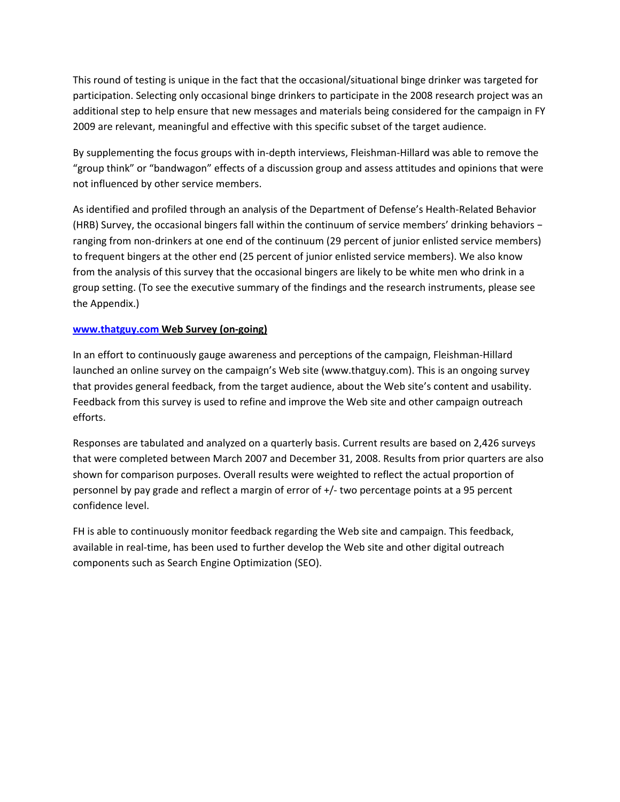This round of testing is unique in the fact that the occasional/situational binge drinker was targeted for participation. Selecting only occasional binge drinkers to participate in the 2008 research project was an additional step to help ensure that new messages and materials being considered for the campaign in FY 2009 are relevant, meaningful and effective with this specific subset of the target audience.

By supplementing the focus groups with in‐depth interviews, Fleishman‐Hillard was able to remove the "group think" or "bandwagon" effects of a discussion group and assess attitudes and opinions that were not influenced by other service members.

As identified and profiled through an analysis of the Department of Defense's Health‐Related Behavior (HRB) Survey, the occasional bingers fall within the continuum of service members' drinking behaviors − ranging from non-drinkers at one end of the continuum (29 percent of junior enlisted service members) to frequent bingers at the other end (25 percent of junior enlisted service members). We also know from the analysis of this survey that the occasional bingers are likely to be white men who drink in a group setting. (To see the executive summary of the findings and the research instruments, please see the Appendix.)

# **www.thatguy.com Web Survey (on‐going)**

In an effort to continuously gauge awareness and perceptions of the campaign, Fleishman‐Hillard launched an online survey on the campaign's Web site (www.thatguy.com). This is an ongoing survey that provides general feedback, from the target audience, about the Web site's content and usability. Feedback from this survey is used to refine and improve the Web site and other campaign outreach efforts.

Responses are tabulated and analyzed on a quarterly basis. Current results are based on 2,426 surveys that were completed between March 2007 and December 31, 2008. Results from prior quarters are also shown for comparison purposes. Overall results were weighted to reflect the actual proportion of personnel by pay grade and reflect a margin of error of +/‐ two percentage points at a 95 percent confidence level.

FH is able to continuously monitor feedback regarding the Web site and campaign. This feedback, available in real-time, has been used to further develop the Web site and other digital outreach components such as Search Engine Optimization (SEO).